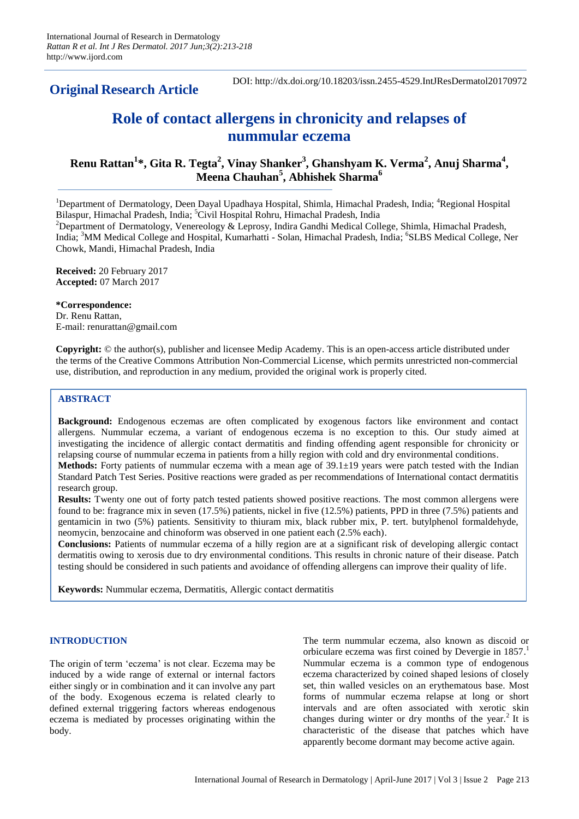**Original Research Article** 

DOI: http://dx.doi.org/10.18203/issn.2455-4529.IntJResDermatol20170972

# **Role of contact allergens in chronicity and relapses of nummular eczema**

**Renu Rattan<sup>1</sup> \*, Gita R. Tegta<sup>2</sup> , Vinay Shanker<sup>3</sup> , Ghanshyam K. Verma<sup>2</sup> , Anuj Sharma<sup>4</sup> , Meena Chauhan<sup>5</sup> , Abhishek Sharma<sup>6</sup>**

<sup>1</sup>Department of Dermatology, Deen Dayal Upadhaya Hospital, Shimla, Himachal Pradesh, India; <sup>4</sup>Regional Hospital Bilaspur, Himachal Pradesh, India; <sup>5</sup>Civil Hospital Rohru, Himachal Pradesh, India <sup>2</sup>Department of Dermatology, Venereology & Leprosy, Indira Gandhi Medical College, Shimla, Himachal Pradesh, India; <sup>3</sup>MM Medical College and Hospital, Kumarhatti - Solan, Himachal Pradesh, India; <sup>6</sup>SLBS Medical College, Ner

**Received:** 20 February 2017 **Accepted:** 07 March 2017

Chowk, Mandi, Himachal Pradesh, India

**\*Correspondence:** Dr. Renu Rattan, E-mail: renurattan@gmail.com

**Copyright:** © the author(s), publisher and licensee Medip Academy. This is an open-access article distributed under the terms of the Creative Commons Attribution Non-Commercial License, which permits unrestricted non-commercial use, distribution, and reproduction in any medium, provided the original work is properly cited.

# **ABSTRACT**

**Background:** Endogenous eczemas are often complicated by exogenous factors like environment and contact allergens. Nummular eczema, a variant of endogenous eczema is no exception to this. Our study aimed at investigating the incidence of allergic contact dermatitis and finding offending agent responsible for chronicity or relapsing course of nummular eczema in patients from a hilly region with cold and dry environmental conditions. **Methods:** Forty patients of nummular eczema with a mean age of  $39.1 \pm 19$  years were patch tested with the Indian Standard Patch Test Series. Positive reactions were graded as per recommendations of International contact dermatitis research group.

**Results:** Twenty one out of forty patch tested patients showed positive reactions. The most common allergens were found to be: fragrance mix in seven (17.5%) patients, nickel in five (12.5%) patients, PPD in three (7.5%) patients and gentamicin in two (5%) patients. Sensitivity to thiuram mix, black rubber mix, P. tert. butylphenol formaldehyde, neomycin, benzocaine and chinoform was observed in one patient each (2.5% each).

**Conclusions:** Patients of nummular eczema of a hilly region are at a significant risk of developing allergic contact dermatitis owing to xerosis due to dry environmental conditions. This results in chronic nature of their disease. Patch testing should be considered in such patients and avoidance of offending allergens can improve their quality of life.

**Keywords:** Nummular eczema, Dermatitis, Allergic contact dermatitis

## **INTRODUCTION**

The origin of term 'eczema' is not clear. Eczema may be induced by a wide range of external or internal factors either singly or in combination and it can involve any part of the body. Exogenous eczema is related clearly to defined external triggering factors whereas endogenous eczema is mediated by processes originating within the body.

The term nummular eczema, also known as discoid or orbiculare eczema was first coined by Devergie in 1857. 1 Nummular eczema is a common type of endogenous eczema characterized by coined shaped lesions of closely set, thin walled vesicles on an erythematous base. Most forms of nummular eczema relapse at long or short intervals and are often associated with xerotic skin changes during winter or dry months of the year.<sup>2</sup> It is characteristic of the disease that patches which have apparently become dormant may become active again.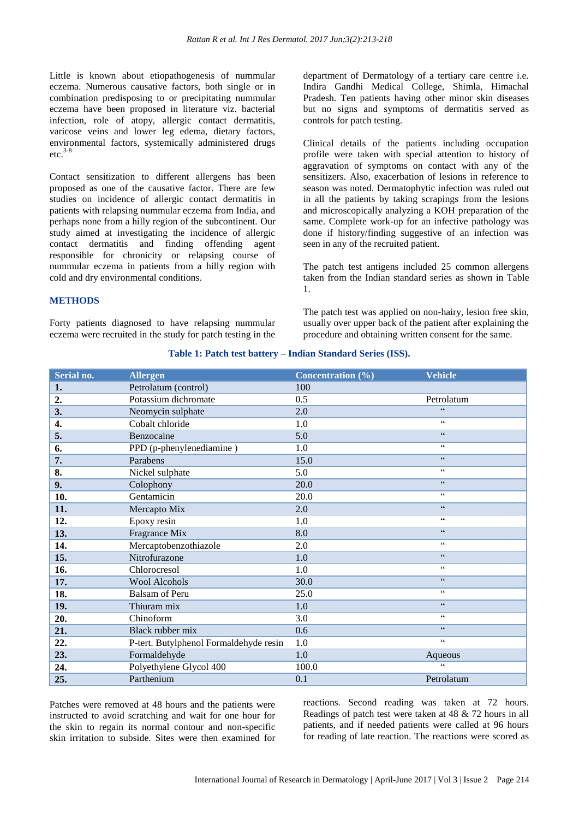Little is known about etiopathogenesis of nummular eczema. Numerous causative factors, both single or in combination predisposing to or precipitating nummular eczema have been proposed in literature viz. bacterial infection, role of atopy, allergic contact dermatitis, varicose veins and lower leg edema, dietary factors, environmental factors, systemically administered drugs  $etc.<sup>3-8</sup>$ 

Contact sensitization to different allergens has been proposed as one of the causative factor. There are few studies on incidence of allergic contact dermatitis in patients with relapsing nummular eczema from India, and perhaps none from a hilly region of the subcontinent. Our study aimed at investigating the incidence of allergic contact dermatitis and finding offending agent responsible for chronicity or relapsing course of nummular eczema in patients from a hilly region with cold and dry environmental conditions.

### **METHODS**

Forty patients diagnosed to have relapsing nummular eczema were recruited in the study for patch testing in the department of Dermatology of a tertiary care centre i.e. Indira Gandhi Medical College, Shimla, Himachal Pradesh. Ten patients having other minor skin diseases but no signs and symptoms of dermatitis served as controls for patch testing.

Clinical details of the patients including occupation profile were taken with special attention to history of aggravation of symptoms on contact with any of the sensitizers. Also, exacerbation of lesions in reference to season was noted. Dermatophytic infection was ruled out in all the patients by taking scrapings from the lesions and microscopically analyzing a KOH preparation of the same. Complete work-up for an infective pathology was done if history/finding suggestive of an infection was seen in any of the recruited patient.

The patch test antigens included 25 common allergens taken from the Indian standard series as shown in Table 1.

The patch test was applied on non-hairy, lesion free skin, usually over upper back of the patient after explaining the procedure and obtaining written consent for the same.

| 100<br>Petrolatum (control)<br>1.<br>Potassium dichromate<br>0.5<br>Petrolatum<br>2.<br>cc<br>Neomycin sulphate<br>2.0<br>3.<br>C C<br>Cobalt chloride<br>1.0<br>4.<br>$\overline{\mathbf{c}}$<br>Benzocaine<br>5.<br>5.0<br>$\mathsf{c}\,\mathsf{c}$<br>PPD (p-phenylenediamine)<br>1.0<br>6.<br>$\mathsf{c}\,\mathsf{c}$<br>Parabens<br>15.0<br>7.<br>cc<br>8.<br>5.0<br>Nickel sulphate<br>$\boldsymbol{\mathsf{c}}$ $\boldsymbol{\mathsf{c}}$<br>20.0<br>9.<br>Colophony<br>$\mathsf{c}\,\mathsf{c}$<br>Gentamicin<br>20.0<br>10.<br>cc<br>Mercapto Mix<br>2.0<br>11.<br>cc<br>Epoxy resin<br>1.0<br>12.<br>cc<br>13.<br>Fragrance Mix<br>8.0<br>cc<br>14.<br>Mercaptobenzothiazole<br>2.0<br>$\boldsymbol{\mathsf{c}}$ $\boldsymbol{\mathsf{c}}$<br>Nitrofurazone<br>15.<br>1.0<br>cc<br>Chlorocresol<br>1.0<br>16.<br>$\boldsymbol{\varsigma}$ $\boldsymbol{\varsigma}$<br><b>Wool Alcohols</b><br>30.0<br>17.<br>$\mathsf{c}\,\mathsf{c}$<br><b>Balsam of Peru</b><br>25.0<br>18.<br>cc<br>Thiuram mix<br>1.0<br>19.<br>$\mathsf{c}\,\mathsf{c}$<br>Chinoform<br>3.0<br>20.<br>$\mathsf{cc}$<br>Black rubber mix<br>0.6<br>21.<br>$\mathsf{c}\,\mathsf{c}$<br>22.<br>P-tert. Butylphenol Formaldehyde resin<br>1.0<br>23.<br>Formaldehyde<br>1.0<br>Aqueous<br>C<br>Polyethylene Glycol 400<br>100.0<br>24. | Serial no. | <b>Allergen</b> | Concentration (%) | <b>Vehicle</b> |
|--------------------------------------------------------------------------------------------------------------------------------------------------------------------------------------------------------------------------------------------------------------------------------------------------------------------------------------------------------------------------------------------------------------------------------------------------------------------------------------------------------------------------------------------------------------------------------------------------------------------------------------------------------------------------------------------------------------------------------------------------------------------------------------------------------------------------------------------------------------------------------------------------------------------------------------------------------------------------------------------------------------------------------------------------------------------------------------------------------------------------------------------------------------------------------------------------------------------------------------------------------------------------------------------------------------------|------------|-----------------|-------------------|----------------|
|                                                                                                                                                                                                                                                                                                                                                                                                                                                                                                                                                                                                                                                                                                                                                                                                                                                                                                                                                                                                                                                                                                                                                                                                                                                                                                                    |            |                 |                   |                |
|                                                                                                                                                                                                                                                                                                                                                                                                                                                                                                                                                                                                                                                                                                                                                                                                                                                                                                                                                                                                                                                                                                                                                                                                                                                                                                                    |            |                 |                   |                |
|                                                                                                                                                                                                                                                                                                                                                                                                                                                                                                                                                                                                                                                                                                                                                                                                                                                                                                                                                                                                                                                                                                                                                                                                                                                                                                                    |            |                 |                   |                |
|                                                                                                                                                                                                                                                                                                                                                                                                                                                                                                                                                                                                                                                                                                                                                                                                                                                                                                                                                                                                                                                                                                                                                                                                                                                                                                                    |            |                 |                   |                |
|                                                                                                                                                                                                                                                                                                                                                                                                                                                                                                                                                                                                                                                                                                                                                                                                                                                                                                                                                                                                                                                                                                                                                                                                                                                                                                                    |            |                 |                   |                |
|                                                                                                                                                                                                                                                                                                                                                                                                                                                                                                                                                                                                                                                                                                                                                                                                                                                                                                                                                                                                                                                                                                                                                                                                                                                                                                                    |            |                 |                   |                |
|                                                                                                                                                                                                                                                                                                                                                                                                                                                                                                                                                                                                                                                                                                                                                                                                                                                                                                                                                                                                                                                                                                                                                                                                                                                                                                                    |            |                 |                   |                |
|                                                                                                                                                                                                                                                                                                                                                                                                                                                                                                                                                                                                                                                                                                                                                                                                                                                                                                                                                                                                                                                                                                                                                                                                                                                                                                                    |            |                 |                   |                |
|                                                                                                                                                                                                                                                                                                                                                                                                                                                                                                                                                                                                                                                                                                                                                                                                                                                                                                                                                                                                                                                                                                                                                                                                                                                                                                                    |            |                 |                   |                |
|                                                                                                                                                                                                                                                                                                                                                                                                                                                                                                                                                                                                                                                                                                                                                                                                                                                                                                                                                                                                                                                                                                                                                                                                                                                                                                                    |            |                 |                   |                |
|                                                                                                                                                                                                                                                                                                                                                                                                                                                                                                                                                                                                                                                                                                                                                                                                                                                                                                                                                                                                                                                                                                                                                                                                                                                                                                                    |            |                 |                   |                |
|                                                                                                                                                                                                                                                                                                                                                                                                                                                                                                                                                                                                                                                                                                                                                                                                                                                                                                                                                                                                                                                                                                                                                                                                                                                                                                                    |            |                 |                   |                |
|                                                                                                                                                                                                                                                                                                                                                                                                                                                                                                                                                                                                                                                                                                                                                                                                                                                                                                                                                                                                                                                                                                                                                                                                                                                                                                                    |            |                 |                   |                |
|                                                                                                                                                                                                                                                                                                                                                                                                                                                                                                                                                                                                                                                                                                                                                                                                                                                                                                                                                                                                                                                                                                                                                                                                                                                                                                                    |            |                 |                   |                |
|                                                                                                                                                                                                                                                                                                                                                                                                                                                                                                                                                                                                                                                                                                                                                                                                                                                                                                                                                                                                                                                                                                                                                                                                                                                                                                                    |            |                 |                   |                |
|                                                                                                                                                                                                                                                                                                                                                                                                                                                                                                                                                                                                                                                                                                                                                                                                                                                                                                                                                                                                                                                                                                                                                                                                                                                                                                                    |            |                 |                   |                |
|                                                                                                                                                                                                                                                                                                                                                                                                                                                                                                                                                                                                                                                                                                                                                                                                                                                                                                                                                                                                                                                                                                                                                                                                                                                                                                                    |            |                 |                   |                |
|                                                                                                                                                                                                                                                                                                                                                                                                                                                                                                                                                                                                                                                                                                                                                                                                                                                                                                                                                                                                                                                                                                                                                                                                                                                                                                                    |            |                 |                   |                |
|                                                                                                                                                                                                                                                                                                                                                                                                                                                                                                                                                                                                                                                                                                                                                                                                                                                                                                                                                                                                                                                                                                                                                                                                                                                                                                                    |            |                 |                   |                |
|                                                                                                                                                                                                                                                                                                                                                                                                                                                                                                                                                                                                                                                                                                                                                                                                                                                                                                                                                                                                                                                                                                                                                                                                                                                                                                                    |            |                 |                   |                |
|                                                                                                                                                                                                                                                                                                                                                                                                                                                                                                                                                                                                                                                                                                                                                                                                                                                                                                                                                                                                                                                                                                                                                                                                                                                                                                                    |            |                 |                   |                |
|                                                                                                                                                                                                                                                                                                                                                                                                                                                                                                                                                                                                                                                                                                                                                                                                                                                                                                                                                                                                                                                                                                                                                                                                                                                                                                                    |            |                 |                   |                |
|                                                                                                                                                                                                                                                                                                                                                                                                                                                                                                                                                                                                                                                                                                                                                                                                                                                                                                                                                                                                                                                                                                                                                                                                                                                                                                                    |            |                 |                   |                |
|                                                                                                                                                                                                                                                                                                                                                                                                                                                                                                                                                                                                                                                                                                                                                                                                                                                                                                                                                                                                                                                                                                                                                                                                                                                                                                                    |            |                 |                   |                |
|                                                                                                                                                                                                                                                                                                                                                                                                                                                                                                                                                                                                                                                                                                                                                                                                                                                                                                                                                                                                                                                                                                                                                                                                                                                                                                                    | 25.        | Parthenium      | 0.1               | Petrolatum     |

**Table 1: Patch test battery – Indian Standard Series (ISS).**

Patches were removed at 48 hours and the patients were instructed to avoid scratching and wait for one hour for the skin to regain its normal contour and non-specific skin irritation to subside. Sites were then examined for

reactions. Second reading was taken at 72 hours. Readings of patch test were taken at 48 & 72 hours in all patients, and if needed patients were called at 96 hours for reading of late reaction. The reactions were scored as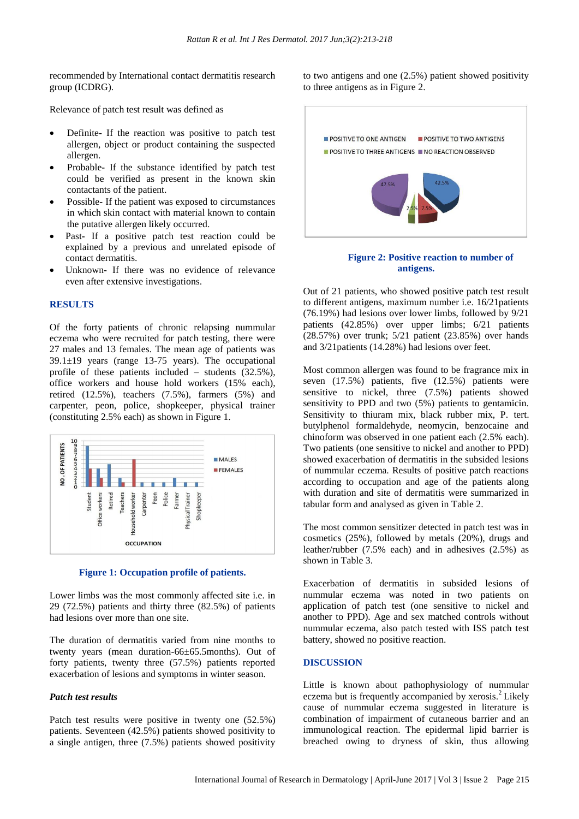recommended by International contact dermatitis research group (ICDRG).

Relevance of patch test result was defined as

- Definite**-** If the reaction was positive to patch test allergen, object or product containing the suspected allergen.
- Probable**-** If the substance identified by patch test could be verified as present in the known skin contactants of the patient.
- Possible**-** If the patient was exposed to circumstances in which skin contact with material known to contain the putative allergen likely occurred.
- Past**-** If a positive patch test reaction could be explained by a previous and unrelated episode of contact dermatitis.
- Unknown**-** If there was no evidence of relevance even after extensive investigations.

# **RESULTS**

Of the forty patients of chronic relapsing nummular eczema who were recruited for patch testing, there were 27 males and 13 females. The mean age of patients was 39.1±19 years (range 13-75 years). The occupational profile of these patients included – students (32.5%), office workers and house hold workers (15% each), retired (12.5%), teachers (7.5%), farmers (5%) and carpenter, peon, police, shopkeeper, physical trainer (constituting 2.5% each) as shown in Figure 1.





Lower limbs was the most commonly affected site i.e. in 29 (72.5%) patients and thirty three (82.5%) of patients had lesions over more than one site.

The duration of dermatitis varied from nine months to twenty years (mean duration-66±65.5months). Out of forty patients, twenty three (57.5%) patients reported exacerbation of lesions and symptoms in winter season.

# *Patch test results*

Patch test results were positive in twenty one (52.5%) patients. Seventeen (42.5%) patients showed positivity to a single antigen, three (7.5%) patients showed positivity

to two antigens and one (2.5%) patient showed positivity to three antigens as in Figure 2.



 **Figure 2: Positive reaction to number of antigens.**

Out of 21 patients, who showed positive patch test result to different antigens, maximum number i.e. 16/21patients (76.19%) had lesions over lower limbs, followed by 9/21 patients (42.85%) over upper limbs; 6/21 patients (28.57%) over trunk; 5/21 patient (23.85%) over hands and 3/21patients (14.28%) had lesions over feet.

Most common allergen was found to be fragrance mix in seven (17.5%) patients, five (12.5%) patients were sensitive to nickel, three (7.5%) patients showed sensitivity to PPD and two (5%) patients to gentamicin. Sensitivity to thiuram mix, black rubber mix, P. tert. butylphenol formaldehyde, neomycin, benzocaine and chinoform was observed in one patient each (2.5% each). Two patients (one sensitive to nickel and another to PPD) showed exacerbation of dermatitis in the subsided lesions of nummular eczema. Results of positive patch reactions according to occupation and age of the patients along with duration and site of dermatitis were summarized in tabular form and analysed as given in Table 2.

The most common sensitizer detected in patch test was in cosmetics (25%), followed by metals (20%), drugs and leather/rubber (7.5% each) and in adhesives (2.5%) as shown in Table 3.

Exacerbation of dermatitis in subsided lesions of nummular eczema was noted in two patients on application of patch test (one sensitive to nickel and another to PPD). Age and sex matched controls without nummular eczema, also patch tested with ISS patch test battery, showed no positive reaction.

#### **DISCUSSION**

Little is known about pathophysiology of nummular eczema but is frequently accompanied by xerosis. $^{2}$  Likely cause of nummular eczema suggested in literature is combination of impairment of cutaneous barrier and an immunological reaction. The epidermal lipid barrier is breached owing to dryness of skin, thus allowing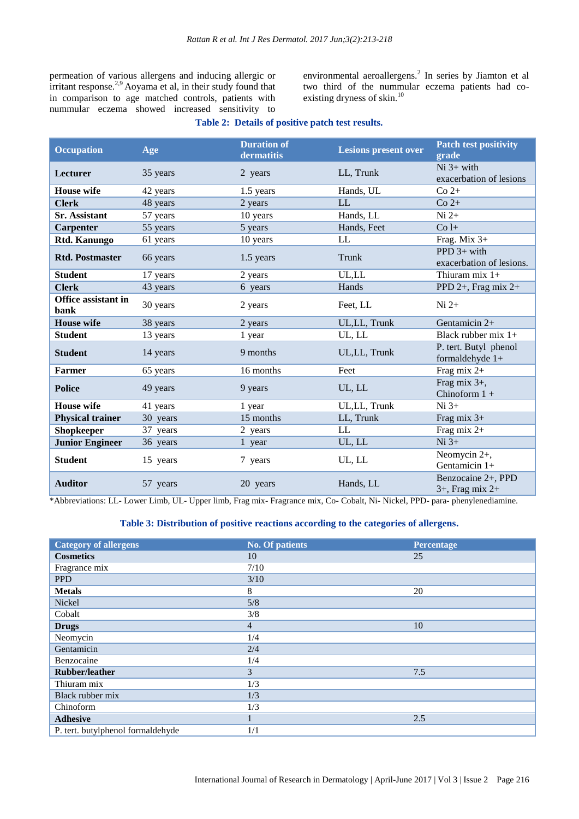permeation of various allergens and inducing allergic or  $\frac{2.9 \text{ A}}{2}$  Aoyama et al, in their study found that in comparison to age matched controls, patients with nummular eczema showed increased sensitivity to

environmental aeroallergens.<sup>2</sup> In series by Jiamton et al two third of the nummular eczema patients had coexisting dryness of skin.<sup>10</sup>

# **Table 2: Details of positive patch test results.**

| <b>Occupation</b>                  | Age      | <b>Duration of</b><br>dermatitis | <b>Lesions present over</b> | <b>Patch test positivity</b><br>grade      |
|------------------------------------|----------|----------------------------------|-----------------------------|--------------------------------------------|
| <b>Lecturer</b>                    | 35 years | 2 years                          | LL, Trunk                   | $Ni$ 3+ with<br>exacerbation of lesions    |
| <b>House</b> wife                  | 42 years | 1.5 years                        | Hands, UL                   | $Co$ 2+                                    |
| <b>Clerk</b>                       | 48 years | 2 years                          | LL                          | $Co$ 2+                                    |
| <b>Sr. Assistant</b>               | 57 years | 10 years                         | Hands, LL                   | $Ni 2+$                                    |
| Carpenter                          | 55 years | 5 years                          | Hands, Feet                 | $Co 1+$                                    |
| <b>Rtd. Kanungo</b>                | 61 years | 10 years                         | LL                          | Frag. Mix 3+                               |
| <b>Rtd. Postmaster</b>             | 66 years | 1.5 years                        | Trunk                       | PPD $3+$ with<br>exacerbation of lesions.  |
| <b>Student</b>                     | 17 years | 2 years                          | UL,LL                       | Thiuram $mix$ 1+                           |
| <b>Clerk</b>                       | 43 years | 6 years                          | Hands                       | PPD 2+, Frag mix 2+                        |
| <b>Office assistant in</b><br>bank | 30 years | 2 years                          | Feet, LL                    | $Ni 2+$                                    |
| <b>House wife</b>                  | 38 years | 2 years                          | UL,LL, Trunk                | Gentamicin 2+                              |
| <b>Student</b>                     | 13 years | 1 year                           | UL, LL                      | Black rubber mix $1+$                      |
| <b>Student</b>                     | 14 years | 9 months                         | UL,LL, Trunk                | P. tert. Butyl phenol<br>formaldehyde $1+$ |
| <b>Farmer</b>                      | 65 years | 16 months                        | Feet                        | Frag mix $2+$                              |
| <b>Police</b>                      | 49 years | 9 years                          | UL, LL                      | Frag mix $3+$ ,<br>Chinoform $1 +$         |
| <b>House wife</b>                  | 41 years | 1 year                           | UL,LL, Trunk                | $Ni 3+$                                    |
| <b>Physical trainer</b>            | 30 years | 15 months                        | LL, Trunk                   | Frag mix $3+$                              |
| Shopkeeper                         | 37 years | 2 years                          | LL                          | Frag mix 2+                                |
| <b>Junior Engineer</b>             | 36 years | 1 year                           | UL, LL                      | $Ni 3+$                                    |
| <b>Student</b>                     | 15 years | 7 years                          | UL, LL                      | Neomycin $2+$ ,<br>Gentamicin 1+           |
| <b>Auditor</b>                     | 57 years | 20 years                         | Hands, LL                   | Benzocaine 2+, PPD<br>$3+$ , Frag mix $2+$ |

\*Abbreviations: LL- Lower Limb, UL- Upper limb, Frag mix- Fragrance mix, Co- Cobalt, Ni- Nickel, PPD- para- phenylenediamine.

## **Table 3: Distribution of positive reactions according to the categories of allergens.**

| <b>Category of allergens</b>      | <b>No. Of patients</b> | Percentage |
|-----------------------------------|------------------------|------------|
| <b>Cosmetics</b>                  | 10                     | 25         |
| Fragrance mix                     | 7/10                   |            |
| <b>PPD</b>                        | 3/10                   |            |
| <b>Metals</b>                     | 8                      | 20         |
| Nickel                            | 5/8                    |            |
| Cobalt                            | 3/8                    |            |
| <b>Drugs</b>                      | $\overline{4}$         | 10         |
| Neomycin                          | 1/4                    |            |
| Gentamicin                        | 2/4                    |            |
| Benzocaine                        | 1/4                    |            |
| <b>Rubber/leather</b>             | 3                      | 7.5        |
| Thiuram mix                       | 1/3                    |            |
| Black rubber mix                  | 1/3                    |            |
| Chinoform                         | 1/3                    |            |
| <b>Adhesive</b>                   | $\mathbf{1}$           | 2.5        |
| P. tert. butylphenol formaldehyde | 1/1                    |            |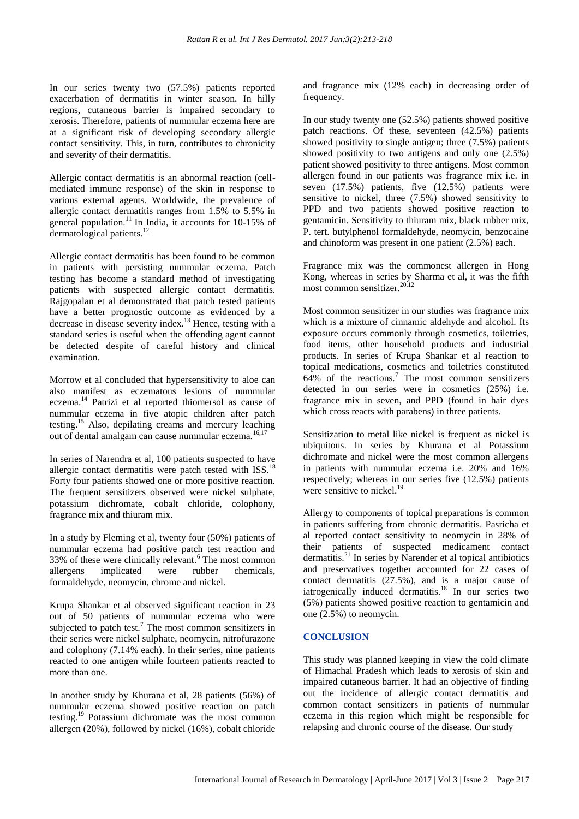In our series twenty two (57.5%) patients reported exacerbation of dermatitis in winter season. In hilly regions, cutaneous barrier is impaired secondary to xerosis. Therefore, patients of nummular eczema here are at a significant risk of developing secondary allergic contact sensitivity. This, in turn, contributes to chronicity and severity of their dermatitis.

Allergic contact dermatitis is an abnormal reaction (cellmediated immune response) of the skin in response to various external agents. Worldwide, the prevalence of allergic contact dermatitis ranges from 1.5% to 5.5% in general population.<sup>11</sup> In India, it accounts for 10-15% of dermatological patients.<sup>12</sup>

Allergic contact dermatitis has been found to be common in patients with persisting nummular eczema. Patch testing has become a standard method of investigating patients with suspected allergic contact dermatitis. Rajgopalan et al demonstrated that patch tested patients have a better prognostic outcome as evidenced by a decrease in disease severity index.<sup>13</sup> Hence, testing with a standard series is useful when the offending agent cannot be detected despite of careful history and clinical examination.

Morrow et al concluded that hypersensitivity to aloe can also manifest as eczematous lesions of nummular eczema.<sup>14</sup> Patrizi et al reported thiomersol as cause of nummular eczema in five atopic children after patch testing.<sup>15</sup> Also, depilating creams and mercury leaching out of dental amalgam can cause nummular eczema.<sup>16,1</sup>

In series of Narendra et al, 100 patients suspected to have allergic contact dermatitis were patch tested with  $ISS$ <sup>18</sup> Forty four patients showed one or more positive reaction. The frequent sensitizers observed were nickel sulphate, potassium dichromate, cobalt chloride, colophony, fragrance mix and thiuram mix.

In a study by Fleming et al, twenty four (50%) patients of nummular eczema had positive patch test reaction and  $33\%$  of these were clinically relevant.<sup>6</sup> The most common allergens implicated were rubber chemicals, formaldehyde, neomycin, chrome and nickel.

Krupa Shankar et al observed significant reaction in 23 out of 50 patients of nummular eczema who were subjected to patch test.<sup>7</sup> The most common sensitizers in their series were nickel sulphate, neomycin, nitrofurazone and colophony (7.14% each). In their series, nine patients reacted to one antigen while fourteen patients reacted to more than one.

In another study by Khurana et al, 28 patients (56%) of nummular eczema showed positive reaction on patch testing.<sup>19</sup> Potassium dichromate was the most common allergen (20%), followed by nickel (16%), cobalt chloride and fragrance mix (12% each) in decreasing order of frequency.

In our study twenty one (52.5%) patients showed positive patch reactions. Of these, seventeen (42.5%) patients showed positivity to single antigen; three (7.5%) patients showed positivity to two antigens and only one (2.5%) patient showed positivity to three antigens. Most common allergen found in our patients was fragrance mix i.e. in seven (17.5%) patients, five (12.5%) patients were sensitive to nickel, three (7.5%) showed sensitivity to PPD and two patients showed positive reaction to gentamicin. Sensitivity to thiuram mix, black rubber mix, P. tert. butylphenol formaldehyde, neomycin, benzocaine and chinoform was present in one patient (2.5%) each.

Fragrance mix was the commonest allergen in Hong Kong, whereas in series by Sharma et al, it was the fifth most common sensitizer.20,12

Most common sensitizer in our studies was fragrance mix which is a mixture of cinnamic aldehyde and alcohol. Its exposure occurs commonly through cosmetics, toiletries, food items, other household products and industrial products. In series of Krupa Shankar et al reaction to topical medications, cosmetics and toiletries constituted  $64\%$  of the reactions.<sup>7</sup> The most common sensitizers detected in our series were in cosmetics (25%) i.e. fragrance mix in seven, and PPD (found in hair dyes which cross reacts with parabens) in three patients.

Sensitization to metal like nickel is frequent as nickel is ubiquitous. In series by Khurana et al Potassium dichromate and nickel were the most common allergens in patients with nummular eczema i.e. 20% and 16% respectively; whereas in our series five (12.5%) patients were sensitive to nickel.<sup>19</sup>

Allergy to components of topical preparations is common in patients suffering from chronic dermatitis. Pasricha et al reported contact sensitivity to neomycin in 28% of their patients of suspected medicament contact dermatitis.<sup>21</sup> In series by Narender et al topical antibiotics and preservatives together accounted for 22 cases of contact dermatitis (27.5%), and is a major cause of iatrogenically induced dermatitis.<sup>18</sup> In our series two (5%) patients showed positive reaction to gentamicin and one (2.5%) to neomycin.

## **CONCLUSION**

This study was planned keeping in view the cold climate of Himachal Pradesh which leads to xerosis of skin and impaired cutaneous barrier. It had an objective of finding out the incidence of allergic contact dermatitis and common contact sensitizers in patients of nummular eczema in this region which might be responsible for relapsing and chronic course of the disease. Our study